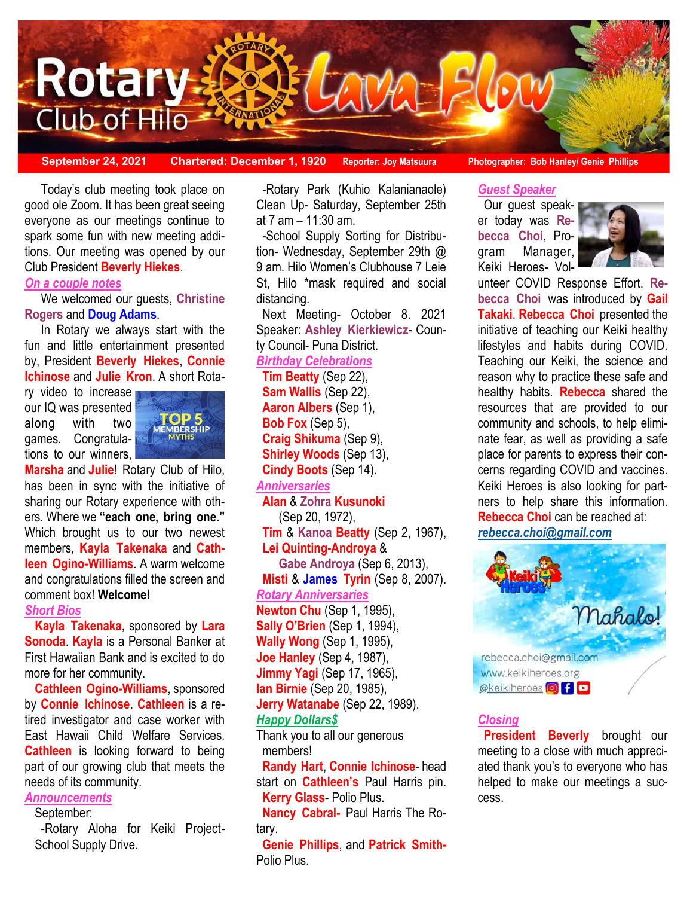

**September 24, 2021 Chartered: December 1, 1920 Reporter: Joy Matsuura Photographer: Bob Hanley/ Genie Phillips**

### good ole Zoom. It has been great seeing Today's club meeting took place on everyone as our meetings continue to spark some fun with new meeting additions. Our meeting was opened by our Club President **Beverly Hiekes**.

#### *On a couple notes*

We welcomed our guests, **Christine Rogers** and **Doug Adams**.

In Rotary we always start with the fun and little entertainment presented by, President **Beverly Hiekes**, **Connie Ichinose** and **Julie Kron**. A short Rota-

ry video to increase our IQ was presented along with two games. Congratulations to our winners,



**Marsha** and **Julie**! Rotary Club of Hilo, has been in sync with the initiative of sharing our Rotary experience with others. Where we **"each one, bring one."** Which brought us to our two newest members, **Kayla Takenaka** and **Cathleen Ogino-Williams**. A warm welcome and congratulations filled the screen and comment box! **Welcome!**  *Short Bios* 

**Kayla Takenaka**, sponsored by **Lara Sonoda**. **Kayla** is a Personal Banker at First Hawaiian Bank and is excited to do more for her community.

**Cathleen Ogino-Williams**, sponsored by **Connie Ichinose**. **Cathleen** is a retired investigator and case worker with East Hawaii Child Welfare Services. **Cathleen** is looking forward to being part of our growing club that meets the needs of its community.

## *Announcements*

September:

-Rotary Aloha for Keiki Project-School Supply Drive.

-Rotary Park (Kuhio Kalanianaole) Clean Up- Saturday, September 25th at 7 am – 11:30 am.

-School Supply Sorting for Distribution- Wednesday, September 29th @ 9 am. Hilo Women's Clubhouse 7 Leie St, Hilo \*mask required and social distancing.

Next Meeting- October 8. 2021 Speaker: **Ashley Kierkiewicz**- County Council- Puna District.

## *Birthday Celebrations*

**Tim Beatty** (Sep 22), **Sam Wallis** (Sep 22), **Aaron Albers** (Sep 1), **Bob Fox** (Sep 5), **Craig Shikuma** (Sep 9), **Shirley Woods** (Sep 13), **Cindy Boots** (Sep 14). *Anniversaries* **Alan** & **Zohra Kusunoki**  (Sep 20, 1972), **Tim** & **Kanoa Beatty** (Sep 2, 1967), **Lei Quinting-Androya** & **Gabe Androya** (Sep 6, 2013), **Misti** & **James Tyrin** (Sep 8, 2007). *Rotary Anniversaries*  **Newton Chu** (Sep 1, 1995), **Sally O'Brien** (Sep 1, 1994), **Wally Wong** (Sep 1, 1995), **Joe Hanley** (Sep 4, 1987), **Jimmy Yagi** (Sep 17, 1965), **Ian Birnie** (Sep 20, 1985), **Jerry Watanabe** (Sep 22, 1989). *Happy Dollars\$* 

Thank you to all our generous members!

**Randy Hart**, **Connie Ichinose**- head start on **Cathleen's** Paul Harris pin. **Kerry Glass**- Polio Plus.

**Nancy Cabral-** Paul Harris The Rotary.

**Genie Phillips**, and **Patrick Smith-**Polio Plus.

*Guest Speaker*

Our guest speaker today was **Rebecca Choi**, Program Manager, Keiki Heroes- Vol-



unteer COVID Response Effort. **Rebecca Choi** was introduced by **Gail Takaki**. **Rebecca Choi** presented the initiative of teaching our Keiki healthy lifestyles and habits during COVID. Teaching our Keiki, the science and reason why to practice these safe and healthy habits. **Rebecca** shared the resources that are provided to our community and schools, to help eliminate fear, as well as providing a safe place for parents to express their concerns regarding COVID and vaccines. Keiki Heroes is also looking for partners to help share this information. **Rebecca Choi** can be reached at: *[rebecca.choi@gmail.com](mailto:rebecca.choi@gmail.com)*



### *Closing*

**President Beverly** brought our meeting to a close with much appreciated thank you's to everyone who has helped to make our meetings a success.